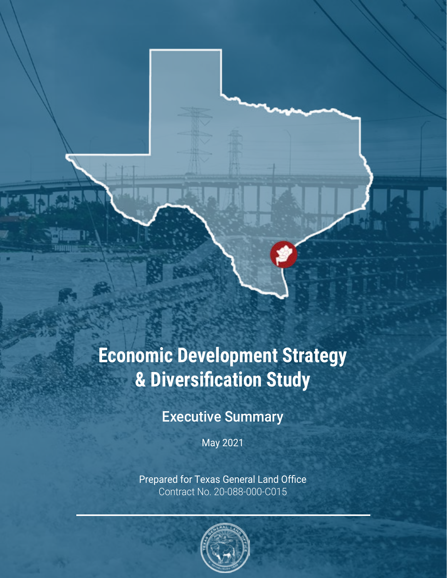# **Economic Development Strategy & Diversification Study**

## Executive Summary

May 2021

Prepared for Texas General Land Office Contract No. 20-088-000-C015

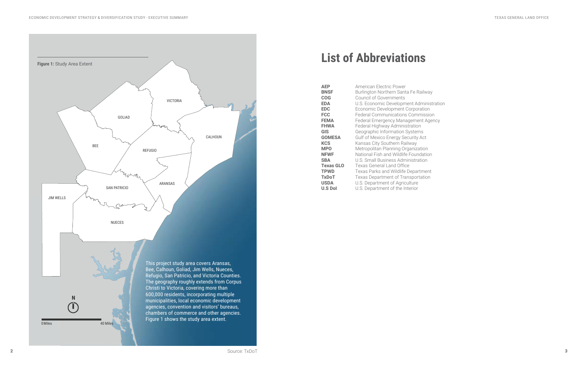# **List of Abbreviations**

| ŀ              |
|----------------|
|                |
| (              |
| l              |
|                |
| F              |
| F              |
|                |
| (              |
| (              |
| ŀ              |
| ľ              |
| ľ              |
| l              |
|                |
|                |
| $\overline{a}$ |
| l              |
| l              |
|                |

**AEP** American Electric Power **BNSF Burlington Northern Santa Fe Railway COG** Council of Governments **EDA** U.S. Economic Development Administration **EDC** Economic Development Corporation **FCC** Federal Communications Commission **Federal Emergency Management Agency Federal Highway Administration GIS Geographic Information Systems GOMESA** Gulf of Mexico Energy Security Act **Kansas City Southern Railway Metropolitan Planning Organization National Fish and Wildlife Foundation SBA** U.S. Small Business Administration **Texas General Land Office TPWD Texas Parks and Wildlife Department TxDoT** Texas Department of Transportation **USDA** U.S. Department of Agriculture **U.S DoI** U.S. Department of the Interior

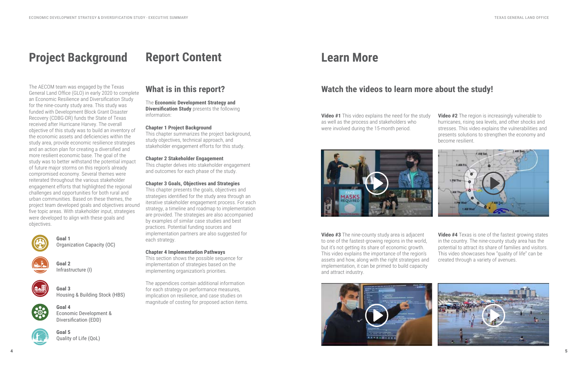# **Project Background**

The AECOM team was engaged by the Texas General Land Office (GLO) in early 2020 to complete an Economic Resilience and Diversification Study for the nine-county study area. This study was funded with Development Block Grant Disaster Recovery (CDBG-DR) funds the State of Texas received after Hurricane Harvey. The overall objective of this study was to build an inventory of the economic assets and deficiencies within the study area, provide economic resilience strategies and an action plan for creating a diversified and more resilient economic base. The goal of the study was to better withstand the potential impact of future major storms on this region's already compromised economy. Several themes were reiterated throughout the various stakeholder engagement efforts that highlighted the regional challenges and opportunities for both rural and urban communities. Based on these themes, the project team developed goals and objectives around five topic areas. With stakeholder input, strategies were developed to align with these goals and objectives.



**Goal 1** Organization Capacity (OC)



**Goal 2** Infrastructure (I)



**Goal 3** Housing & Building Stock (HBS)



**Goal 4** Economic Development & Diversification (EDD)



**Goal 5** Quality of Life (QoL)

# **Learn More**

## **What is in this report?**

The **Economic Development Strategy and Diversification Study** presents the following information:

#### **Chapter 1 Project Background**

This chapter summarizes the project background, study objectives, technical approach, and stakeholder engagement efforts for this study.

#### **Chapter 2 Stakeholder Engagement**

This chapter delves into stakeholder engagement and outcomes for each phase of the study.

#### **Chapter 3 Goals, Objectives and Strategies**

This chapter presents the goals, objectives and strategies identified for the study area through an iterative stakeholder engagement process. For each strategy, a timeline and roadmap to implementation are provided. The strategies are also accompanied by examples of similar case studies and best practices. Potential funding sources and implementation partners are also suggested for each strategy.

#### **Chapter 4 Implementation Pathways**

This section shows the possible sequence for implementation of strategies based on the implementing organization's priorities.

The appendices contain additional information for each strategy on performance measures, implication on resilience, and case studies on magnitude of costing for proposed action items.

# **Report Content**

**Video #1** This video explains the need for the study as well as the process and stakeholders who were involved during the 15-month period.



**Video #2** The region is increasingly vulnerable to hurricanes, rising sea levels, and other shocks and stresses. This video explains the vulnerabilities and presents solutions to strengthen the economy and become resilient.



**Video #3** The nine-county study area is adjacent to one of the fastest-growing regions in the world, but it's not getting its share of economic growth. This video explains the importance of the region's assets and how, along with the right strategies and implementation, it can be primed to build capacity and attract industry.



**Video #4** Texas is one of the fastest growing states in the country. The nine-county study area has the potential to attract its share of families and visitors. This video showcases how "quality of life" can be created through a variety of avenues.





## **Watch the videos to learn more about the study!**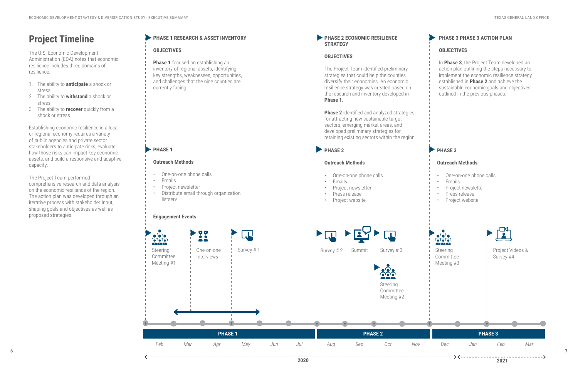### **Outreach Methods**

- One-on-one phone calls
- Emails
- Project newsletter
- Distribute email through organization listserv



## **Engagement Events**

**Phase 1** focused on establishing an inventory of regional assets, identifying key strengths, weaknesses, opportunities, and challenges that the nine counties are currently facing.

## **PHASE 1**

### **PHASE 2 ECONOMIC RESILIENCE STRATEGY**

## **PHASE 2**

## **Outreach Methods**

- One-on-one phone calls
- Emails
- Project newsletter
- Press release
- Project website

## **PHASE 3**

### **Outreach Methods**

- One-on-one phone calls
- Emails
- Project newsletter
- Press release
- Project website

## **PHASE 1 RESEARCH & ASSET INVENTORY**

## **OBJECTIVES**

## **OBJECTIVES**

The Project Team identified preliminary strategies that could help the counties diversify their economies. An economic resilience strategy was created based on the research and inventory developed in **Phase 1.**

**Phase 2** identified and analyzed strategies

- for attracting new sustainable target
- sectors, emerging market areas, and
- developed preliminary strategies for
- retaining existing sectors within the region.

## **PHASE 3 PHASE 3 ACTION PLAN**

### **OBJECTIVES**

In **Phase 3**, the Project Team developed an action plan outlining the steps necessary to implement the economic resilience strategy established in **Phase 2** and achieve the sustainable economic goals and objectives outlined in the previous phases.

## **Project Timeline**

The U.S. Economic Development Administration (EDA) notes that economic resilience includes three domains of resilience:

- 1. The ability to **anticipate** a shock or stress
- 2. The ability to **withstand** a shock or stress
- 3. The ability to **recover** quickly from a shock or stress

Establishing economic resilience in a local or regional economy requires a variety of public agencies and private sector stakeholders to anticipate risks, evaluate how those risks can impact key economic assets, and build a responsive and adaptive capacity.

The Project Team performed comprehensive research and data analysis on the economic resilience of the region. The action plan was developed through an iterative process with stakeholder input, shaping goals and objectives as well as proposed strategies.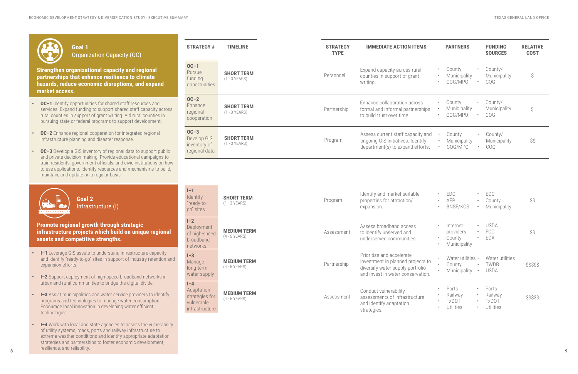$\mathcal{L}(\mathcal{L}(\mathcal{L}(\mathcal{L}(\mathcal{L}(\mathcal{L}(\mathcal{L}(\mathcal{L}(\mathcal{L}(\mathcal{L}(\mathcal{L}(\mathcal{L}(\mathcal{L}(\mathcal{L}(\mathcal{L}(\mathcal{L}(\mathcal{L}(\mathcal{L}(\mathcal{L}(\mathcal{L}(\mathcal{L}(\mathcal{L}(\mathcal{L}(\mathcal{L}(\mathcal{L}(\mathcal{L}(\mathcal{L}(\mathcal{L}(\mathcal{L}(\mathcal{L}(\mathcal{L}(\mathcal{L}(\mathcal{L}(\mathcal{L}(\mathcal{L}(\mathcal{L}(\mathcal{$ 

| <b>IMMEDIATE ACTION ITEMS</b>                                                                        |                                     | <b>PARTNERS</b>                   |                          | <b>FUNDING</b><br><b>SOURCES</b>      | <b>RELATIVE</b><br><b>COST</b> |
|------------------------------------------------------------------------------------------------------|-------------------------------------|-----------------------------------|--------------------------|---------------------------------------|--------------------------------|
| band capacity across rural<br>unties in support of grant<br>ting.                                    | ٠<br>$\bullet$<br>$\bullet$         | County<br>Municipality<br>COG/MPO | $\bullet$ .<br>$\bullet$ | County/<br>Municipality<br><b>COG</b> | \$                             |
| nance collaboration across<br>mal and informal partnerships<br>build trust over time.                | $\bullet$<br>$\bullet$<br>$\bullet$ | County<br>Municipality<br>COG/MPO | $\bullet$<br>$\bullet$   | County/<br>Municipality<br><b>COG</b> | Ŝ                              |
| sess current staff capacity and<br>going GIS initiatives. Identify<br>partment(s) to expand efforts. | $\bullet$<br>$\bullet$<br>$\bullet$ | County<br>Municipality<br>COG/MPO | $\bullet$<br>$\bullet$   | County/<br>Municipality<br><b>COG</b> | \$\$                           |

| Goal 1<br><b>Organization Capacity (OC)</b>                                                                                                                                                                                                                                                                        | <b>STRATEGY #</b>                                               | <b>TIMELINE</b>                       | <b>STRATEGY</b><br><b>TYPE</b> | <b>IMMEDIATE ACTION ITEMS</b>                                                                                                         |
|--------------------------------------------------------------------------------------------------------------------------------------------------------------------------------------------------------------------------------------------------------------------------------------------------------------------|-----------------------------------------------------------------|---------------------------------------|--------------------------------|---------------------------------------------------------------------------------------------------------------------------------------|
| <b>Strengthen organizational capacity and regional</b><br>partnerships that enhance resilience to climate<br>hazards, reduce economic disruptions, and expand<br>market access.                                                                                                                                    | $OC-1$<br>Pursue<br>funding<br>opportunities                    | <b>SHORT TERM</b><br>$(1 - 3$ YEARS)  | Personnel                      | Expand capacity across rural<br>counties in support of grant<br>writing.                                                              |
| <b>OC-1</b> Identify opportunities for shared staff resources and<br>services. Expand funding to support shared staff capacity across<br>rural counties in support of grant writing. Aid rural counties in<br>pursuing state or federal programs to support development.                                           | $OC-2$<br>Enhance<br>regional<br>cooperation                    | <b>SHORT TERM</b><br>$(1 - 3$ YEARS)  | Partnership                    | Enhance collaboration across<br>formal and informal partnerships<br>to build trust over time.                                         |
| <b>OC-2</b> Enhance regional cooperation for integrated regional<br>infrastructure planning and disaster response.<br><b>OC-3</b> Develop a GIS inventory of regional data to support public<br>and private decision making. Provide educational campaigns to                                                      | $OC-3$<br>Develop GIS<br>inventory of<br>regional data          | <b>SHORT TERM</b><br>$(1 - 3$ YEARS)  | Program                        | Assess current staff capacity an<br>ongoing GIS initiatives. Identify<br>department(s) to expand efforts                              |
| train residents, government officials, and civic institutions on how<br>to use applications. Identify resources and mechanisms to build,<br>maintain, and update on a regular basis.                                                                                                                               |                                                                 |                                       |                                |                                                                                                                                       |
| Goal 2<br>Infrastructure (I)                                                                                                                                                                                                                                                                                       | $I-1$<br>Identify<br>"ready-to-<br>go" sites                    | <b>SHORT TERM</b><br>$(1 - 3$ YEARS)  | Program                        | Identify and market suitable<br>properties for attraction/<br>expansion.                                                              |
| Promote regional growth through strategic<br>infrastructure projects which build on unique regional<br>assets and competitive strengths.                                                                                                                                                                           | $I - 2$<br>Deployment<br>of high-speed<br>broadband<br>networks | <b>MEDIUM TERM</b><br>$(4 - 6$ YEARS) | Assessment                     | Assess broadband access<br>to identify unserved and<br>underserved communities.                                                       |
| I-1 Leverage GIS assets to understand infrastructure capacity<br>and identify "ready-to-go" sites in support of industry retention and<br>expansion efforts.                                                                                                                                                       | $I-3$<br>Manage<br>long-term<br>water supply                    | <b>MEDIUM TERM</b><br>$(4 - 6$ YEARS) | Partnership                    | Prioritize and accelerate<br>investment in planned projects t<br>diversify water supply portfolio<br>and invest in water conservation |
| <b>I-2</b> Support deployment of high-speed broadband networks in<br>urban and rural communities to bridge the digital divide.                                                                                                                                                                                     | $I - 4$                                                         |                                       |                                |                                                                                                                                       |
| <b>I-3</b> Assist municipalities and water service providers to identify<br>$\bullet$<br>programs and technologies to manage water consumption.<br>Encourage local innovation in developing water efficient<br>technologies.                                                                                       | Adaptation<br>strategies for<br>vulnerable<br>infrastructure    | <b>MEDIUM TERM</b><br>$(4 - 6$ YEARS) | Assessment                     | Conduct vulnerability<br>assessments of infrastructure<br>and identify adaptation<br>strategies.                                      |
| I-4 Work with local and state agencies to assess the vulnerability<br>$\bullet$<br>of utility systems, roads, ports and railway infrastructure to<br>extreme weather conditions and identify appropriate adaptation<br>strategies and partnerships to foster economic development,<br>resilience, and reliability. |                                                                 |                                       |                                |                                                                                                                                       |

| e                           | $\bullet$<br>٠<br>$\bullet$ | EDC<br><b>AEP</b><br>BNSF/KCS                        | $\bullet$<br>$\bullet$                           | EDC<br>County<br>Municipality                         | \$\$       |
|-----------------------------|-----------------------------|------------------------------------------------------|--------------------------------------------------|-------------------------------------------------------|------------|
|                             | ۰<br>$\bullet$              | Internet<br>providers<br>County<br>Municipality      | $\sim 0.01$<br>$\bullet$                         | <b>USDA</b><br>$\cdot$ FCC<br><b>EDA</b>              | \$\$       |
| ects to<br>folio<br>vation. | $\bullet$<br>$\bullet$      | County<br>Municipality                               |                                                  | Water utilities • Water utilities<br>• TWDB<br>· USDA | \$\$\$\$\$ |
| ture                        | $\bullet$<br>$\bullet$      | Ports<br>Railway<br><b>TxDOT</b><br><b>Utilities</b> | $\bullet$<br>$\bullet$<br>$\bullet$<br>$\bullet$ | Ports<br>Railway<br><b>TxDOT</b><br><b>Utilities</b>  | \$\$\$\$\$ |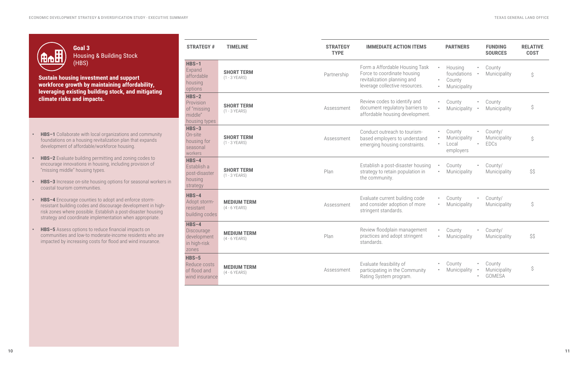

**Goal 3** Housing & Building Stock (HBS)

**Sustain housing investment and support workforce growth by maintaining affordability, leveraging existing building stock, and mitigating climate risks and impacts.**

- **• HBS–1** Collaborate with local organizations and community foundations on a housing revitalization plan that expands development of affordable/workforce housing.
- **• HBS–2** Evaluate building permitting and zoning codes to encourage innovations in housing, including provision of "missing middle" housing types.
- **• HBS–3** Increase on-site housing options for seasonal workers in coastal tourism communities.
- **• HBS–4** Encourage counties to adopt and enforce stormresistant building codes and discourage development in highrisk zones where possible. Establish a post-disaster housing strategy and coordinate implementation when appropriate.
- **• HBS–5** Assess options to reduce financial impacts on communities and low-to moderate-income residents who are impacted by increasing costs for flood and wind insurance.

| <b>STRATEGY#</b>                                                | <b>TIMELINE</b>                       | <b>STRATEGY</b><br><b>TYPE</b> | <b>IMMEDIATE ACTION ITEMS</b>                                                                                                  |                                     | <b>PARTNERS</b>                                  |           | <b>FUNDING</b><br><b>SOURCES</b>        | <b>RELATIVE</b><br><b>COST</b> |
|-----------------------------------------------------------------|---------------------------------------|--------------------------------|--------------------------------------------------------------------------------------------------------------------------------|-------------------------------------|--------------------------------------------------|-----------|-----------------------------------------|--------------------------------|
| $HBS-1$<br>Expand<br>affordable<br>housing<br>options           | <b>SHORT TERM</b><br>$(1 - 3$ YEARS)  | Partnership                    | Form a Affordable Housing Task<br>Force to coordinate housing<br>revitalization planning and<br>leverage collective resources. | $\bullet$<br>$\bullet$<br>$\bullet$ | Housing<br>foundations<br>County<br>Municipality | $\bullet$ | County<br>Municipality                  | \$                             |
| $HBS-2$<br>Provision<br>of "missing<br>middle"<br>housing types | <b>SHORT TERM</b><br>$(1 - 3$ YEARS)  | Assessment                     | Review codes to identify and<br>document regulatory barriers to<br>affordable housing development.                             | $\bullet$                           | County<br>Municipality                           | $\bullet$ | County<br>Municipality                  | \$                             |
| $HBS-3$<br>On-site<br>housing for<br>seasonal<br>workers        | <b>SHORT TERM</b><br>$(1 - 3$ YEARS)  | Assessment                     | Conduct outreach to tourism-<br>based employers to understand<br>emerging housing constraints.                                 | $\bullet$<br>$\bullet$<br>$\bullet$ | County<br>Municipality<br>Local<br>employers     | $\bullet$ | County/<br>Municipality<br><b>EDCs</b>  | \$                             |
| $HBS-4$<br>Establish a<br>post-disaster<br>housing<br>strategy  | <b>SHORT TERM</b><br>$(1 - 3$ YEARS)  | Plan                           | Establish a post-disaster housing<br>strategy to retain population in<br>the community.                                        | $\bullet$                           | County<br>Municipality                           |           | County/<br>Municipality                 | \$\$                           |
| $HBS-4$<br>Adopt storm-<br>resistant<br>building codes          | <b>MEDIUM TERM</b><br>$(4 - 6$ YEARS) | Assessment                     | Evaluate current building code<br>and consider adoption of more<br>stringent standards.                                        |                                     | County<br>Municipality                           |           | County/<br>Municipality                 | \$                             |
| $HBS-4$<br>Discourage<br>development<br>in high-risk<br>zones   | <b>MEDIUM TERM</b><br>$(4 - 6$ YEARS) | Plan                           | Review floodplain management<br>practices and adopt stringent<br>standards.                                                    | $\bullet$                           | County<br>Municipality                           | $\bullet$ | County/<br>Municipality                 | \$\$                           |
| $HBS-5$<br>Reduce costs<br>of flood and<br>wind insurance       | <b>MEDIUM TERM</b><br>$(4 - 6$ YEARS) | Assessment                     | Evaluate feasibility of<br>participating in the Community<br>Rating System program.                                            |                                     | County<br>Municipality                           |           | County<br>Municipality<br><b>GOMESA</b> | \$                             |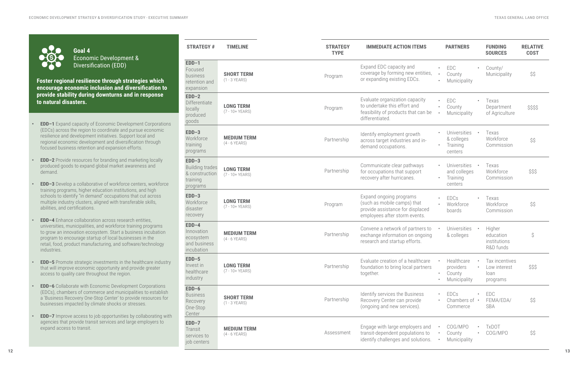**Foster regional resilience through strategies which encourage economic inclusion and diversification to provide stability during downturns and in response to natural disasters.**

- **• EDD–1** Expand capacity of Economic Development Corporations (EDCs) across the region to coordinate and pursue economic resilience and development initiatives. Support local and regional economic development and diversification through focused business retention and expansion efforts.
- **EDD-2** Provide resources for branding and marketing locally produced goods to expand global market awareness and demand.
- **• EDD–3** Develop a collaborative of workforce centers, workforce training programs, higher education institutions, and high schools to identify "in demand" occupations that cut across multiple industry clusters, aligned with transferable skills, abilities, and certifications.
- **• EDD–4** Enhance collaboration across research entities, universities, municipalities, and workforce training programs to grow an innovation ecosystem. Start a business incubation program to encourage startup of local businesses in the retail, food, product manufacturing, and software/technology industries.
- **• EDD–5** Promote strategic investments in the healthcare industry that will improve economic opportunity and provide greater access to quality care throughout the region.
- **• EDD–6** Collaborate with Economic Development Corporations (EDCs), chambers of commerce and municipalities to establish a 'Business Recovery One-Stop Center' to provide resources for businesses impacted by climate shocks or stresses.
- **EDD-7** Improve access to job opportunities by collaborating with agencies that provide transit services and large employers to expand access to transit.

**Goal 4** Economic Development & Diversification (EDD)

| <b>STRATEGY #</b>                                                           | <b>TIMELINE</b>                        | <b>STRATEGY</b><br><b>TYPE</b> | <b>IMMEDIATE ACTION ITEMS</b>                                                                                               |           | <b>PARTNERS</b>                                     |           | <b>FUNDING</b><br><b>SOURCES</b>                   | <b>RELATIVE</b><br><b>COST</b> |
|-----------------------------------------------------------------------------|----------------------------------------|--------------------------------|-----------------------------------------------------------------------------------------------------------------------------|-----------|-----------------------------------------------------|-----------|----------------------------------------------------|--------------------------------|
| $EDD-1$<br>Focused<br>business<br>retention and<br>expansion                | <b>SHORT TERM</b><br>$(1 - 3$ YEARS)   | Program                        | Expand EDC capacity and<br>coverage by forming new entities,<br>or expanding existing EDCs.                                 |           | EDC<br>County<br>Municipality                       |           | County/<br>Municipality                            | \$\$                           |
| $EDD-2$<br>Differentiate<br>locally<br>produced<br>goods                    | <b>LONG TERM</b><br>(7 - 10+ YEARS)    | Program                        | Evaluate organization capacity<br>to undertake this effort and<br>feasibility of products that can be<br>differentiated.    |           | EDC<br>County<br>Municipality                       |           | Texas<br>Department<br>of Agriculture              | \$\$\$\$                       |
| $EDD-3$<br>Workforce<br>training<br>programs                                | <b>MEDIUM TERM</b><br>$(4 - 6$ YEARS)  | Partnership                    | Identify employment growth<br>across target industries and in-<br>demand occupations.                                       |           | Universities<br>& colleges<br>Training<br>centers   |           | Texas<br>Workforce<br>Commission                   | \$\$                           |
| $EDD-3$<br><b>Building trades</b><br>& construction<br>training<br>programs | <b>LONG TERM</b><br>(7 - 10+ YEARS)    | Partnership                    | Communicate clear pathways<br>for occupations that support<br>recovery after hurricanes.                                    |           | Universities<br>and colleges<br>Training<br>centers |           | Texas<br>Workforce<br>Commission                   | \$\$\$                         |
| $EDD-3$<br>Workforce<br>disaster<br>recovery                                | <b>LONG TERM</b><br>(7 - 10+ YEARS)    | Program                        | Expand ongoing programs<br>(such as mobile camps) that<br>provide assistance for displaced<br>employees after storm events. |           | EDCs<br>Workforce<br>boards                         |           | Texas<br>Workforce<br>Commission                   | \$\$                           |
| $EDD-4$<br>Innovation<br>ecosystem<br>and business<br>incubation            | <b>MEDIUM TERM</b><br>$(4 - 6$ YEARS)  | Partnership                    | Convene a network of partners to<br>exchange information on ongoing<br>research and startup efforts.                        |           | Universities<br>& colleges                          | $\bullet$ | Higher<br>education<br>institutions<br>R&D funds   | \$                             |
| $EDD-5$<br>Invest in<br>healthcare<br>industry                              | <b>LONG TERM</b><br>$(7 - 10 + YEARS)$ | Partnership                    | Evaluate creation of a healthcare<br>foundation to bring local partners<br>together.                                        | $\bullet$ | Healthcare<br>providers<br>County<br>Municipality   |           | Tax incentives<br>Low interest<br>loan<br>programs | \$\$\$                         |
| $EDD-6$<br><b>Business</b><br>Recovery<br>One-Stop<br>Center                | <b>SHORT TERM</b><br>$(1 - 3$ YEARS)   | Partnership                    | Identify services the Business<br>Recovery Center can provide<br>(ongoing and new services).                                |           | <b>EDCs</b><br>Chambers of •<br>Commerce            | $\bullet$ | EDC<br>FEMA/EDA/<br>SBA                            | \$\$                           |
| $EDD-7$<br>Transit<br>services to<br>job centers                            | <b>MEDIUM TERM</b><br>$(4 - 6$ YEARS)  | Assessment                     | Engage with large employers and<br>transit-dependent populations to<br>identify challenges and solutions.                   |           | COG/MPO<br>County<br>Municipality                   |           | <b>TxDOT</b><br>COG/MPO                            | \$\$                           |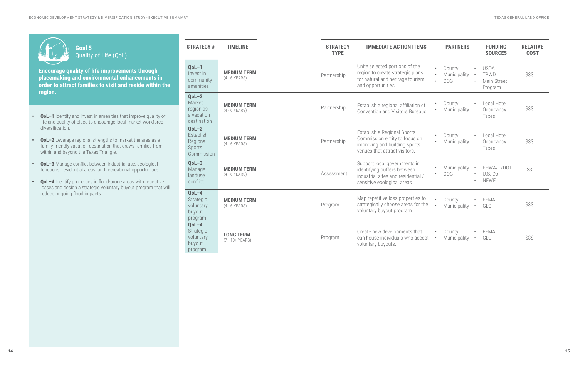**Encourage quality of life improvements through placemaking and environmental enhancements in order to attract families to visit and reside within the region.**

- **• QoL–1** Identify and invest in amenities that improve quality of life and quality of place to encourage local market workforce diversification.
- **• QoL–2** Leverage regional strengths to market the area as a family-friendly vacation destination that draws families from within and beyond the Texas Triangle.
- **• QoL–3** Manage conflict between industrial use, ecological functions, residential areas, and recreational opportunities.
- **• QoL–4** Identify properties in flood-prone areas with repetitive losses and design a strategic voluntary buyout program that will reduce ongoing flood impacts.

| I |  |
|---|--|

## **Goal 5** Quality of Life (QoL)

| <b>STRATEGY #</b>                                           | <b>TIMELINE</b>                        | <b>STRATEGY</b><br><b>TYPE</b> | <b>IMMEDIATE ACTION ITEMS</b>                                                                                                    |                        | <b>PARTNERS</b>               |           | <b>FUNDING</b><br><b>SOURCES</b>              | <b>RELATIVE</b><br><b>COST</b> |
|-------------------------------------------------------------|----------------------------------------|--------------------------------|----------------------------------------------------------------------------------------------------------------------------------|------------------------|-------------------------------|-----------|-----------------------------------------------|--------------------------------|
| $QoL-1$<br>Invest in<br>community<br>amenities              | <b>MEDIUM TERM</b><br>$(4 - 6$ YEARS)  | Partnership                    | Unite selected portions of the<br>region to create strategic plans<br>for natural and heritage tourism<br>and opportunities.     | $\bullet$<br>$\bullet$ | County<br>Municipality<br>COG | $\bullet$ | <b>USDA</b><br>TPWD<br>Main Street<br>Program | \$\$\$                         |
| $QoL-2$<br>Market<br>region as<br>a vacation<br>destination | <b>MEDIUM TERM</b><br>$(4 - 6$ YEARS)  | Partnership                    | Establish a regional affiliation of<br>Convention and Visitors Bureaus.                                                          | $\bullet$              | County<br>Municipality        | $\bullet$ | Local Hotel<br>Occupancy<br>Taxes             | \$\$\$                         |
| $QoL-2$<br>Establish<br>Regional<br>Sports<br>Commission    | <b>MEDIUM TERM</b><br>$(4 - 6$ YEARS)  | Partnership                    | Establish a Regional Sports<br>Commission entity to focus on<br>improving and building sports<br>venues that attract visitors.   | $\bullet$<br>$\bullet$ | County<br>Municipality        | $\bullet$ | Local Hotel<br>Occupancy<br><b>Taxes</b>      | \$\$\$                         |
| $QoL-3$<br>Manage<br>landuse<br>conflict                    | <b>MEDIUM TERM</b><br>$(4 - 6$ YEARS)  | Assessment                     | Support local governments in<br>identifying buffers between<br>industrial sites and residential /<br>sensitive ecological areas. | $\bullet$<br>$\bullet$ | Municipality<br><b>COG</b>    | $\bullet$ | FHWA/TxDOT<br>U.S. Dol<br><b>NFWF</b>         | \$\$                           |
| $QoL-4$<br>Strategic<br>voluntary<br>buyout<br>program      | <b>MEDIUM TERM</b><br>$(4 - 6$ YEARS)  | Program                        | Map repetitive loss properties to<br>strategically choose areas for the<br>voluntary buyout program.                             |                        | County<br>Municipality        | $\bullet$ | FEMA<br>GLO                                   | \$\$\$                         |
| $QoL-4$<br>Strategic<br>voluntary<br>buyout<br>program      | <b>LONG TERM</b><br>$(7 - 10 + YEARS)$ | Program                        | Create new developments that<br>can house individuals who accept<br>voluntary buyouts.                                           | $\bullet$<br>$\bullet$ | County<br>Municipality        | $\bullet$ | <b>FEMA</b><br>GLO                            | \$\$\$                         |